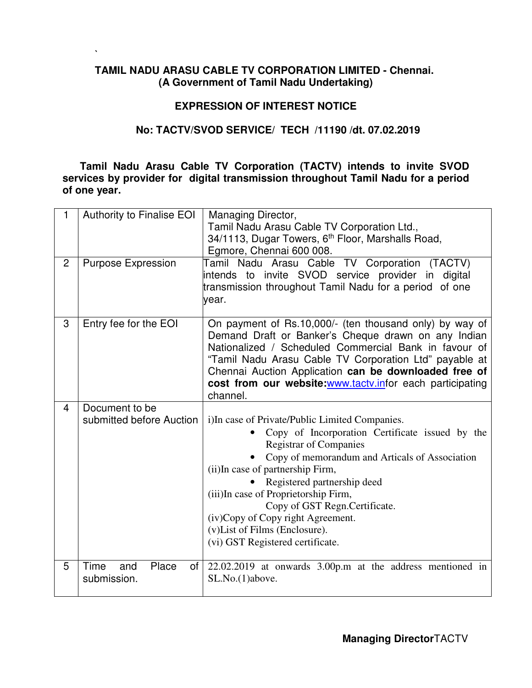# **TAMIL NADU ARASU CABLE TV CORPORATION LIMITED - Chennai. (A Government of Tamil Nadu Undertaking)**

**`** 

# **EXPRESSION OF INTEREST NOTICE**

# **No: TACTV/SVOD SERVICE/ TECH /11190 /dt. 07.02.2019**

**Tamil Nadu Arasu Cable TV Corporation (TACTV) intends to invite SVOD services by provider for digital transmission throughout Tamil Nadu for a period of one year.** 

| 1              | <b>Authority to Finalise EOI</b> | Managing Director,                                             |
|----------------|----------------------------------|----------------------------------------------------------------|
|                |                                  | Tamil Nadu Arasu Cable TV Corporation Ltd.,                    |
|                |                                  | 34/1113, Dugar Towers, 6 <sup>th</sup> Floor, Marshalls Road,  |
|                |                                  | Egmore, Chennai 600 008.                                       |
| $\overline{2}$ | <b>Purpose Expression</b>        | Tamil Nadu Arasu Cable TV Corporation (TACTV)                  |
|                |                                  | intends to invite SVOD service provider in digital             |
|                |                                  | transmission throughout Tamil Nadu for a period of one         |
|                |                                  | year.                                                          |
|                |                                  |                                                                |
| 3              | Entry fee for the EOI            | On payment of Rs.10,000/- (ten thousand only) by way of        |
|                |                                  | Demand Draft or Banker's Cheque drawn on any Indian            |
|                |                                  | Nationalized / Scheduled Commercial Bank in favour of          |
|                |                                  | "Tamil Nadu Arasu Cable TV Corporation Ltd" payable at         |
|                |                                  | Chennai Auction Application can be downloaded free of          |
|                |                                  | cost from our website: www.tacty.infor each participating      |
|                |                                  | channel.                                                       |
| $\overline{4}$ | Document to be                   |                                                                |
|                | submitted before Auction         | i)In case of Private/Public Limited Companies.                 |
|                |                                  | Copy of Incorporation Certificate issued by the                |
|                |                                  | <b>Registrar of Companies</b>                                  |
|                |                                  | Copy of memorandum and Articals of Association                 |
|                |                                  | (ii) In case of partnership Firm,                              |
|                |                                  | Registered partnership deed                                    |
|                |                                  | (iii)In case of Proprietorship Firm,                           |
|                |                                  | Copy of GST Regn.Certificate.                                  |
|                |                                  | (iv)Copy of Copy right Agreement.                              |
|                |                                  | (v) List of Films (Enclosure).                                 |
|                |                                  | (vi) GST Registered certificate.                               |
|                |                                  |                                                                |
| 5              | Time<br>Place<br>of<br>and       | $22.02.2019$ at onwards $3.00p$ .m at the address mentioned in |
|                | submission.                      | SL.No.(1)above.                                                |
|                |                                  |                                                                |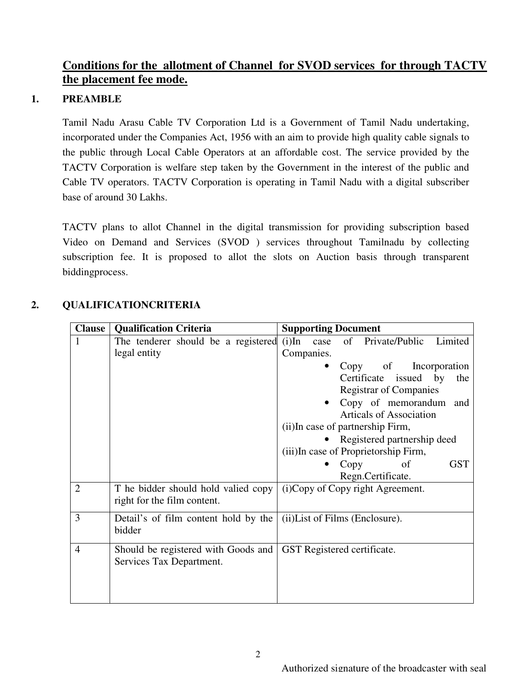# **Conditions for the allotment of Channel for SVOD services for through TACTV the placement fee mode.**

# **1. PREAMBLE**

Tamil Nadu Arasu Cable TV Corporation Ltd is a Government of Tamil Nadu undertaking, incorporated under the Companies Act, 1956 with an aim to provide high quality cable signals to the public through Local Cable Operators at an affordable cost. The service provided by the TACTV Corporation is welfare step taken by the Government in the interest of the public and Cable TV operators. TACTV Corporation is operating in Tamil Nadu with a digital subscriber base of around 30 Lakhs.

TACTV plans to allot Channel in the digital transmission for providing subscription based Video on Demand and Services (SVOD ) services throughout Tamilnadu by collecting subscription fee. It is proposed to allot the slots on Auction basis through transparent biddingprocess.

| 2. | <b>QUALIFICATIONCRITERIA</b> |
|----|------------------------------|
|    |                              |

| <b>Clause</b>  | <b>Qualification Criteria</b>                                      | <b>Supporting Document</b>                                                                                                                                                                                                                                     |
|----------------|--------------------------------------------------------------------|----------------------------------------------------------------------------------------------------------------------------------------------------------------------------------------------------------------------------------------------------------------|
| 1              | The tenderer should be a registered<br>legal entity                | $(i)$ In<br>of Private/Public<br>Limited<br>case<br>Companies.                                                                                                                                                                                                 |
|                |                                                                    | Copy of Incorporation<br>Certificate issued by<br>the<br><b>Registrar of Companies</b><br>Copy of memorandum and<br><b>Articals of Association</b><br>(ii) In case of partnership Firm,<br>Registered partnership deed<br>(iii)In case of Proprietorship Firm, |
|                |                                                                    | <b>GST</b><br>Copy<br>of<br>$\bullet$<br>Regn.Certificate.                                                                                                                                                                                                     |
| $\overline{2}$ | T he bidder should hold valied copy<br>right for the film content. | (i)Copy of Copy right Agreement.                                                                                                                                                                                                                               |
| 3              | Detail's of film content hold by the<br>bidder                     | (ii) List of Films (Enclosure).                                                                                                                                                                                                                                |
| $\overline{4}$ | Should be registered with Goods and<br>Services Tax Department.    | GST Registered certificate.                                                                                                                                                                                                                                    |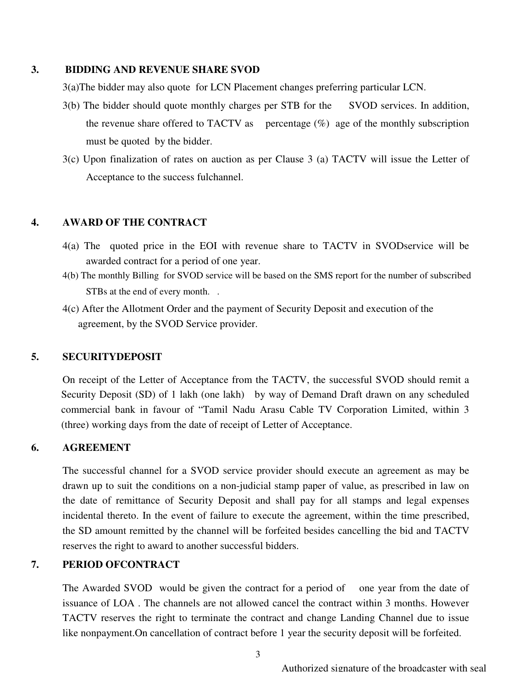#### **3. BIDDING AND REVENUE SHARE SVOD**

3(a)The bidder may also quote for LCN Placement changes preferring particular LCN.

- 3(b) The bidder should quote monthly charges per STB for the SVOD services. In addition, the revenue share offered to TACTV as percentage  $(\%)$  age of the monthly subscription must be quoted by the bidder.
- 3(c) Upon finalization of rates on auction as per Clause 3 (a) TACTV will issue the Letter of Acceptance to the success fulchannel.

# **4. AWARD OF THE CONTRACT**

- 4(a) The quoted price in the EOI with revenue share to TACTV in SVODservice will be awarded contract for a period of one year.
- 4(b) The monthly Billing for SVOD service will be based on the SMS report for the number of subscribed STBs at the end of every month. .
- 4(c) After the Allotment Order and the payment of Security Deposit and execution of the agreement, by the SVOD Service provider.

### **5. SECURITYDEPOSIT**

On receipt of the Letter of Acceptance from the TACTV, the successful SVOD should remit a Security Deposit (SD) of 1 lakh (one lakh) by way of Demand Draft drawn on any scheduled commercial bank in favour of "Tamil Nadu Arasu Cable TV Corporation Limited, within 3 (three) working days from the date of receipt of Letter of Acceptance.

### **6. AGREEMENT**

The successful channel for a SVOD service provider should execute an agreement as may be drawn up to suit the conditions on a non-judicial stamp paper of value, as prescribed in law on the date of remittance of Security Deposit and shall pay for all stamps and legal expenses incidental thereto. In the event of failure to execute the agreement, within the time prescribed, the SD amount remitted by the channel will be forfeited besides cancelling the bid and TACTV reserves the right to award to another successful bidders.

# **7. PERIOD OFCONTRACT**

The Awarded SVOD would be given the contract for a period of one year from the date of issuance of LOA . The channels are not allowed cancel the contract within 3 months. However TACTV reserves the right to terminate the contract and change Landing Channel due to issue like nonpayment.On cancellation of contract before 1 year the security deposit will be forfeited.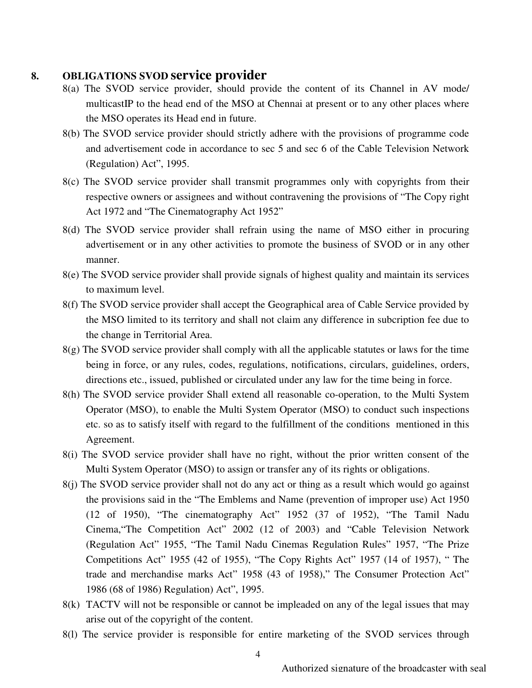### **8. OBLIGATIONS SVOD service provider**

- 8(a) The SVOD service provider, should provide the content of its Channel in AV mode/ multicastIP to the head end of the MSO at Chennai at present or to any other places where the MSO operates its Head end in future.
- 8(b) The SVOD service provider should strictly adhere with the provisions of programme code and advertisement code in accordance to sec 5 and sec 6 of the Cable Television Network (Regulation) Act", 1995.
- 8(c) The SVOD service provider shall transmit programmes only with copyrights from their respective owners or assignees and without contravening the provisions of "The Copy right Act 1972 and "The Cinematography Act 1952"
- 8(d) The SVOD service provider shall refrain using the name of MSO either in procuring advertisement or in any other activities to promote the business of SVOD or in any other manner.
- 8(e) The SVOD service provider shall provide signals of highest quality and maintain its services to maximum level.
- 8(f) The SVOD service provider shall accept the Geographical area of Cable Service provided by the MSO limited to its territory and shall not claim any difference in subcription fee due to the change in Territorial Area.
- 8(g) The SVOD service provider shall comply with all the applicable statutes or laws for the time being in force, or any rules, codes, regulations, notifications, circulars, guidelines, orders, directions etc., issued, published or circulated under any law for the time being in force.
- 8(h) The SVOD service provider Shall extend all reasonable co-operation, to the Multi System Operator (MSO), to enable the Multi System Operator (MSO) to conduct such inspections etc. so as to satisfy itself with regard to the fulfillment of the conditions mentioned in this Agreement.
- 8(i) The SVOD service provider shall have no right, without the prior written consent of the Multi System Operator (MSO) to assign or transfer any of its rights or obligations.
- 8(j) The SVOD service provider shall not do any act or thing as a result which would go against the provisions said in the "The Emblems and Name (prevention of improper use) Act 1950 (12 of 1950), "The cinematography Act" 1952 (37 of 1952), "The Tamil Nadu Cinema,"The Competition Act" 2002 (12 of 2003) and "Cable Television Network (Regulation Act" 1955, "The Tamil Nadu Cinemas Regulation Rules" 1957, "The Prize Competitions Act" 1955 (42 of 1955), "The Copy Rights Act" 1957 (14 of 1957), " The trade and merchandise marks Act" 1958 (43 of 1958)," The Consumer Protection Act" 1986 (68 of 1986) Regulation) Act", 1995.
- 8(k) TACTV will not be responsible or cannot be impleaded on any of the legal issues that may arise out of the copyright of the content.
- 8(l) The service provider is responsible for entire marketing of the SVOD services through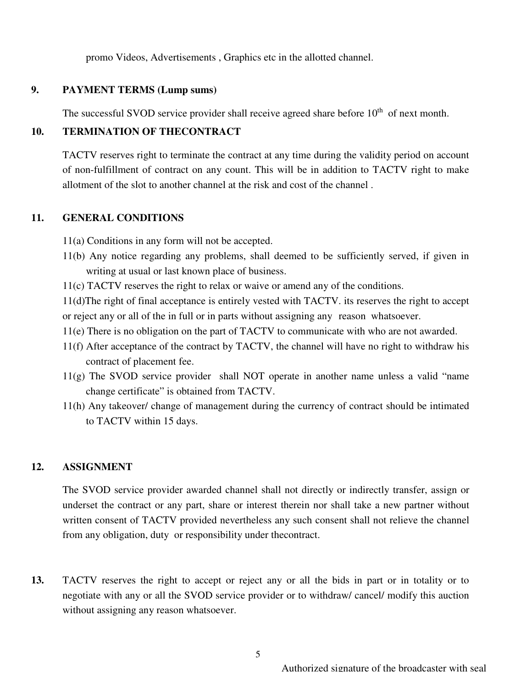promo Videos, Advertisements , Graphics etc in the allotted channel.

#### **9. PAYMENT TERMS (Lump sums)**

The successful SVOD service provider shall receive agreed share before  $10<sup>th</sup>$  of next month.

### **10. TERMINATION OF THECONTRACT**

TACTV reserves right to terminate the contract at any time during the validity period on account of non-fulfillment of contract on any count. This will be in addition to TACTV right to make allotment of the slot to another channel at the risk and cost of the channel .

#### **11. GENERAL CONDITIONS**

11(a) Conditions in any form will not be accepted.

- 11(b) Any notice regarding any problems, shall deemed to be sufficiently served, if given in writing at usual or last known place of business.
- 11(c) TACTV reserves the right to relax or waive or amend any of the conditions.

11(d)The right of final acceptance is entirely vested with TACTV. its reserves the right to accept or reject any or all of the in full or in parts without assigning any reason whatsoever.

- 11(e) There is no obligation on the part of TACTV to communicate with who are not awarded.
- 11(f) After acceptance of the contract by TACTV, the channel will have no right to withdraw his contract of placement fee.
- 11(g) The SVOD service provider shall NOT operate in another name unless a valid "name change certificate" is obtained from TACTV.
- 11(h) Any takeover/ change of management during the currency of contract should be intimated to TACTV within 15 days.

#### **12. ASSIGNMENT**

The SVOD service provider awarded channel shall not directly or indirectly transfer, assign or underset the contract or any part, share or interest therein nor shall take a new partner without written consent of TACTV provided nevertheless any such consent shall not relieve the channel from any obligation, duty or responsibility under thecontract.

**13.** TACTV reserves the right to accept or reject any or all the bids in part or in totality or to negotiate with any or all the SVOD service provider or to withdraw/ cancel/ modify this auction without assigning any reason whatsoever.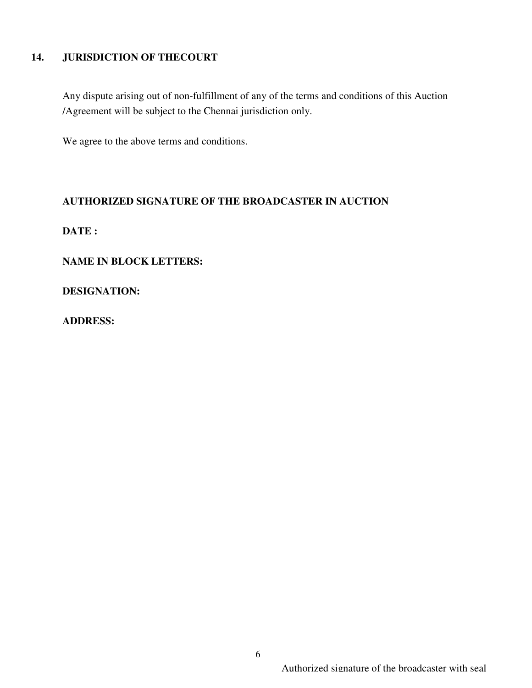# **14. JURISDICTION OF THECOURT**

Any dispute arising out of non-fulfillment of any of the terms and conditions of this Auction /Agreement will be subject to the Chennai jurisdiction only.

We agree to the above terms and conditions.

### **AUTHORIZED SIGNATURE OF THE BROADCASTER IN AUCTION**

**DATE :** 

**NAME IN BLOCK LETTERS:** 

**DESIGNATION:** 

**ADDRESS:**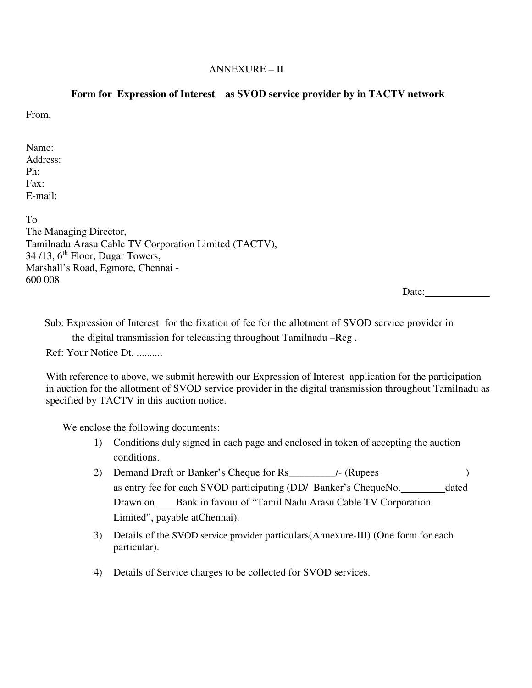#### ANNEXURE – II

#### **Form for Expression of Interest as SVOD service provider by in TACTV network**

From,

Name: Address: Ph: Fax: E-mail:

To The Managing Director, Tamilnadu Arasu Cable TV Corporation Limited (TACTV),  $34/13$ ,  $6<sup>th</sup>$  Floor, Dugar Towers, Marshall's Road, Egmore, Chennai - 600 008

Date:

Sub: Expression of Interest for the fixation of fee for the allotment of SVOD service provider in the digital transmission for telecasting throughout Tamilnadu –Reg .

Ref: Your Notice Dt. ..........

With reference to above, we submit herewith our Expression of Interest application for the participation in auction for the allotment of SVOD service provider in the digital transmission throughout Tamilnadu as specified by TACTV in this auction notice.

We enclose the following documents:

- 1) Conditions duly signed in each page and enclosed in token of accepting the auction conditions.
- 2) Demand Draft or Banker's Cheque for Rs\_\_\_\_\_\_\_\_\_/- (Rupees ) as entry fee for each SVOD participating (DD/ Banker's ChequeNo. dated Drawn on Bank in favour of "Tamil Nadu Arasu Cable TV Corporation Limited", payable atChennai).
- 3) Details of the SVOD service provider particulars(Annexure-III) (One form for each particular).
- 4) Details of Service charges to be collected for SVOD services.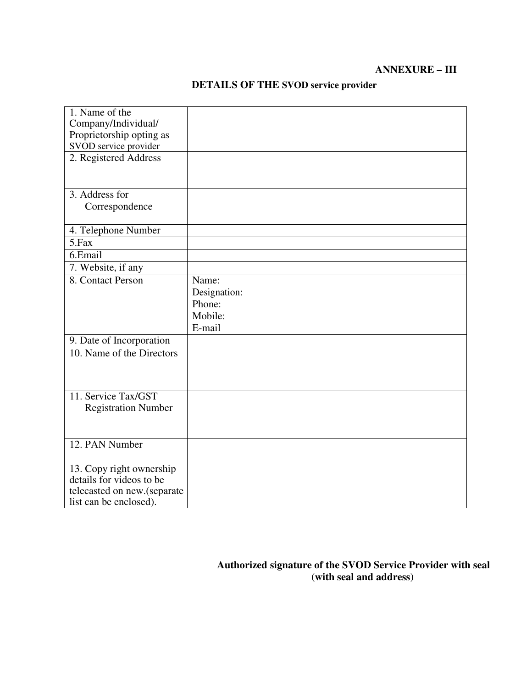### **ANNEXURE – III**

| 1. Name of the                                        |              |
|-------------------------------------------------------|--------------|
|                                                       |              |
| Company/Individual/                                   |              |
| Proprietorship opting as                              |              |
| SVOD service provider                                 |              |
| 2. Registered Address                                 |              |
|                                                       |              |
|                                                       |              |
| 3. Address for                                        |              |
| Correspondence                                        |              |
|                                                       |              |
| 4. Telephone Number                                   |              |
| $\overline{5}$ . Fax                                  |              |
| 6.Email                                               |              |
| 7. Website, if any                                    |              |
| 8. Contact Person                                     | Name:        |
|                                                       | Designation: |
|                                                       | Phone:       |
|                                                       | Mobile:      |
|                                                       | E-mail       |
| 9. Date of Incorporation                              |              |
| 10. Name of the Directors                             |              |
|                                                       |              |
|                                                       |              |
|                                                       |              |
| 11. Service Tax/GST                                   |              |
| <b>Registration Number</b>                            |              |
|                                                       |              |
|                                                       |              |
| 12. PAN Number                                        |              |
|                                                       |              |
| 13. Copy right ownership                              |              |
| details for videos to be                              |              |
|                                                       |              |
|                                                       |              |
| telecasted on new.(separate<br>list can be enclosed). |              |

# **DETAILS OF THE SVOD service provider**

# **Authorized signature of the SVOD Service Provider with seal (with seal and address)**